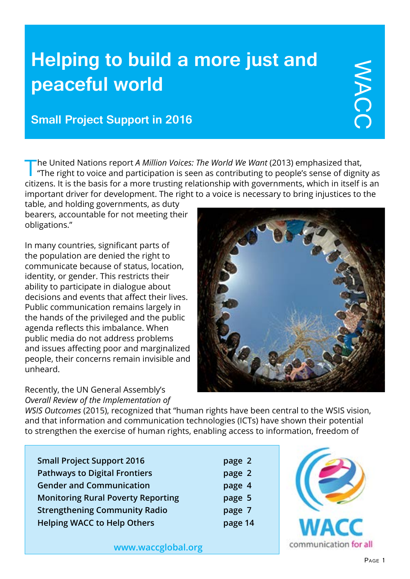# **Helping to build a more just and peaceful world**

# **Small Project Support in 2016**

The United Nations report *A Million Voices: The World We Want* (2013) emphasized that,<br>"The right to voice and participation is seen as contributing to people's sense of dignity as citizens. It is the basis for a more trusting relationship with governments, which in itself is an important driver for development. The right to a voice is necessary to bring injustices to the

table, and holding governments, as duty bearers, accountable for not meeting their obligations."

In many countries, significant parts of the population are denied the right to communicate because of status, location, identity, or gender. This restricts their ability to participate in dialogue about decisions and events that affect their lives. Public communication remains largely in the hands of the privileged and the public agenda reflects this imbalance. When public media do not address problems and issues affecting poor and marginalized people, their concerns remain invisible and unheard.

Recently, the UN General Assembly's *Overall Review of the Implementation of* 



*WSIS Outcomes* (2015), recognized that "human rights have been central to the WSIS vision, and that information and communication technologies (ICTs) have shown their potential to strengthen the exercise of human rights, enabling access to information, freedom of

| <b>Small Project Support 2016</b>         |
|-------------------------------------------|
| <b>Pathways to Digital Frontiers</b>      |
| <b>Gender and Communication</b>           |
| <b>Monitoring Rural Poverty Reporting</b> |
| <b>Strengthening Community Radio</b>      |
| <b>Helping WACC to Help Others</b>        |





**<www.waccglobal.org>**

WACC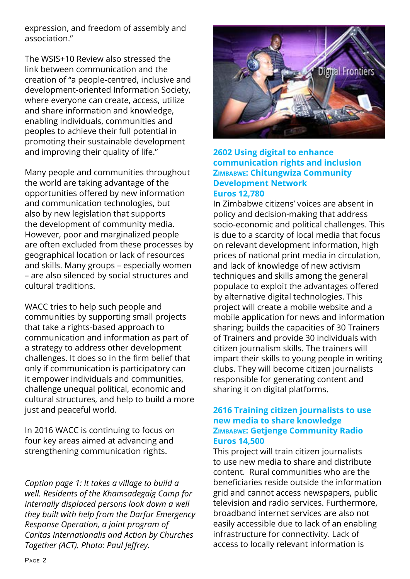expression, and freedom of assembly and association."

The WSIS+10 Review also stressed the link between communication and the creation of "a people-centred, inclusive and development-oriented Information Society, where everyone can create, access, utilize and share information and knowledge, enabling individuals, communities and peoples to achieve their full potential in promoting their sustainable development and improving their quality of life."

Many people and communities throughout the world are taking advantage of the opportunities offered by new information and communication technologies, but also by new legislation that supports the development of community media. However, poor and marginalized people are often excluded from these processes by geographical location or lack of resources and skills. Many groups – especially women – are also silenced by social structures and cultural traditions.

WACC tries to help such people and communities by supporting small projects that take a rights-based approach to communication and information as part of a strategy to address other development challenges. It does so in the firm belief that only if communication is participatory can it empower individuals and communities, challenge unequal political, economic and cultural structures, and help to build a more just and peaceful world.

In 2016 WACC is continuing to focus on four key areas aimed at advancing and strengthening communication rights.

*Caption page 1: It takes a village to build a well. Residents of the Khamsadegaig Camp for internally displaced persons look down a well they built with help from the Darfur Emergency Response Operation, a joint program of Caritas Internationalis and Action by Churches Together (ACT). Photo: Paul Jeffrey.*



#### **2602 Using digital to enhance communication rights and inclusion Zimbabwe: Chitungwiza Community Development Network Euros 12,780**

In Zimbabwe citizens' voices are absent in policy and decision-making that address socio-economic and political challenges. This is due to a scarcity of local media that focus on relevant development information, high prices of national print media in circulation, and lack of knowledge of new activism techniques and skills among the general populace to exploit the advantages offered by alternative digital technologies. This project will create a mobile website and a mobile application for news and information sharing; builds the capacities of 30 Trainers of Trainers and provide 30 individuals with citizen journalism skills. The trainers will impart their skills to young people in writing clubs. They will become citizen journalists responsible for generating content and sharing it on digital platforms.

## **2616 Training citizen journalists to use new media to share knowledge Zimbabwe: Getjenge Community Radio Euros 14,500**

This project will train citizen journalists to use new media to share and distribute content. Rural communities who are the beneficiaries reside outside the information grid and cannot access newspapers, public television and radio services. Furthermore, broadband internet services are also not easily accessible due to lack of an enabling infrastructure for connectivity. Lack of access to locally relevant information is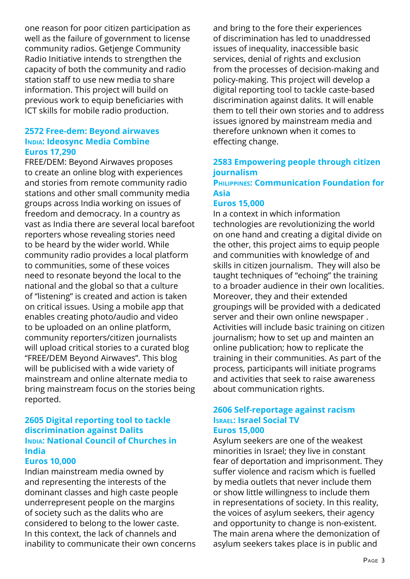one reason for poor citizen participation as well as the failure of government to license community radios. Getjenge Community Radio Initiative intends to strengthen the capacity of both the community and radio station staff to use new media to share information. This project will build on previous work to equip beneficiaries with ICT skills for mobile radio production.

## **2572 Free-dem: Beyond airwaves India: Ideosync Media Combine Euros 17,290**

FREE/DEM: Beyond Airwaves proposes to create an online blog with experiences and stories from remote community radio stations and other small community media groups across India working on issues of freedom and democracy. In a country as vast as India there are several local barefoot reporters whose revealing stories need to be heard by the wider world. While community radio provides a local platform to communities, some of these voices need to resonate beyond the local to the national and the global so that a culture of "listening" is created and action is taken on critical issues. Using a mobile app that enables creating photo/audio and video to be uploaded on an online platform, community reporters/citizen journalists will upload critical stories to a curated blog "FREE/DEM Beyond Airwaves". This blog will be publicised with a wide variety of mainstream and online alternate media to bring mainstream focus on the stories being reported.

## **2605 Digital reporting tool to tackle discrimination against Dalits India: National Council of Churches in India**

## **Euros 10,000**

Indian mainstream media owned by and representing the interests of the dominant classes and high caste people underrepresent people on the margins of society such as the dalits who are considered to belong to the lower caste. In this context, the lack of channels and inability to communicate their own concerns and bring to the fore their experiences of discrimination has led to unaddressed issues of inequality, inaccessible basic services, denial of rights and exclusion from the processes of decision-making and policy-making. This project will develop a digital reporting tool to tackle caste-based discrimination against dalits. It will enable them to tell their own stories and to address issues ignored by mainstream media and therefore unknown when it comes to effecting change.

## **2583 Empowering people through citizen journalism**

## **Philippines: Communication Foundation for Asia**

## **Euros 15,000**

In a context in which information technologies are revolutionizing the world on one hand and creating a digital divide on the other, this project aims to equip people and communities with knowledge of and skills in citizen journalism. They will also be taught techniques of "echoing" the training to a broader audience in their own localities. Moreover, they and their extended groupings will be provided with a dedicated server and their own online newspaper . Activities will include basic training on citizen journalism; how to set up and mainten an online publication; how to replicate the training in their communities. As part of the process, participants will initiate programs and activities that seek to raise awareness about communication rights.

#### **2606 Self-reportage against racism Israel: Israel Social TV Euros 15,000**

Asylum seekers are one of the weakest minorities in Israel; they live in constant fear of deportation and imprisonment. They suffer violence and racism which is fuelled by media outlets that never include them or show little willingness to include them in representations of society. In this reality, the voices of asylum seekers, their agency and opportunity to change is non-existent. The main arena where the demonization of asylum seekers takes place is in public and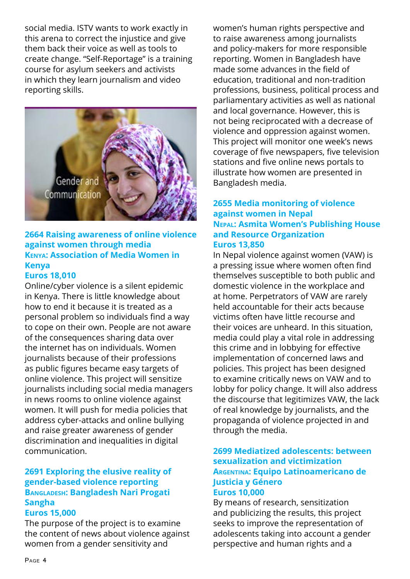social media. ISTV wants to work exactly in this arena to correct the injustice and give them back their voice as well as tools to create change. "Self-Reportage" is a training course for asylum seekers and activists in which they learn journalism and video reporting skills.



## **2664 Raising awareness of online violence against women through media Kenya: Association of Media Women in Kenya**

## **Euros 18,010**

Online/cyber violence is a silent epidemic in Kenya. There is little knowledge about how to end it because it is treated as a personal problem so individuals find a way to cope on their own. People are not aware of the consequences sharing data over the internet has on individuals. Women journalists because of their professions as public figures became easy targets of online violence. This project will sensitize journalists including social media managers in news rooms to online violence against women. It will push for media policies that address cyber-attacks and online bullying and raise greater awareness of gender discrimination and inequalities in digital communication.

## **2691 Exploring the elusive reality of gender-based violence reporting Bangladesh: Bangladesh Nari Progati Sangha**

## **Euros 15,000**

The purpose of the project is to examine the content of news about violence against women from a gender sensitivity and

women's human rights perspective and to raise awareness among journalists and policy-makers for more responsible reporting. Women in Bangladesh have made some advances in the field of education, traditional and non-tradition professions, business, political process and parliamentary activities as well as national and local governance. However, this is not being reciprocated with a decrease of violence and oppression against women. This project will monitor one week's news coverage of five newspapers, five television stations and five online news portals to illustrate how women are presented in Bangladesh media.

## **2655 Media monitoring of violence against women in Nepal Nepal: Asmita Women's Publishing House and Resource Organization Euros 13,850**

In Nepal violence against women (VAW) is a pressing issue where women often find themselves susceptible to both public and domestic violence in the workplace and at home. Perpetrators of VAW are rarely held accountable for their acts because victims often have little recourse and their voices are unheard. In this situation, media could play a vital role in addressing this crime and in lobbying for effective implementation of concerned laws and policies. This project has been designed to examine critically news on VAW and to lobby for policy change. It will also address the discourse that legitimizes VAW, the lack of real knowledge by journalists, and the propaganda of violence projected in and through the media.

## **2699 Mediatized adolescents: between sexualization and victimization Argentina: Equipo Latinoamericano de Justicia y Género Euros 10,000**

By means of research, sensitization and publicizing the results, this project seeks to improve the representation of adolescents taking into account a gender perspective and human rights and a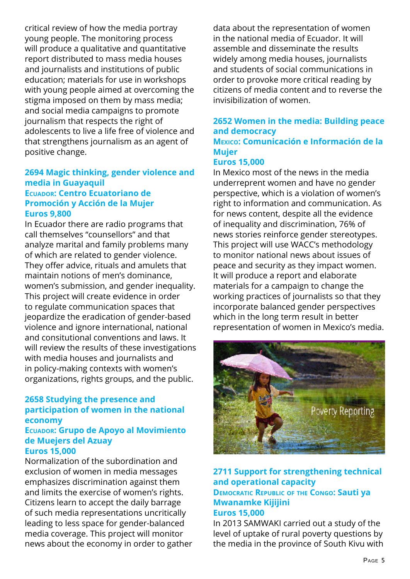critical review of how the media portray young people. The monitoring process will produce a qualitative and quantitative report distributed to mass media houses and journalists and institutions of public education; materials for use in workshops with young people aimed at overcoming the stigma imposed on them by mass media; and social media campaigns to promote journalism that respects the right of adolescents to live a life free of violence and that strengthens journalism as an agent of positive change.

## **2694 Magic thinking, gender violence and media in Guayaquil Ecuador: Centro Ecuatoriano de Promoción y Acción de la Mujer Euros 9,800**

In Ecuador there are radio programs that call themselves "counsellors" and that analyze marital and family problems many of which are related to gender violence. They offer advice, rituals and amulets that maintain notions of men's dominance, women's submission, and gender inequality. This project will create evidence in order to regulate communication spaces that jeopardize the eradication of gender-based violence and ignore international, national and consitutional conventions and laws. It will review the results of these investigations with media houses and journalists and in policy-making contexts with women's organizations, rights groups, and the public.

## **2658 Studying the presence and participation of women in the national economy**

#### **Ecuador: Grupo de Apoyo al Movimiento de Muejers del Azuay Euros 15,000**

Normalization of the subordination and exclusion of women in media messages emphasizes discrimination against them and limits the exercise of women's rights. Citizens learn to accept the daily barrage of such media representations uncritically leading to less space for gender-balanced media coverage. This project will monitor news about the economy in order to gather data about the representation of women in the national media of Ecuador. It will assemble and disseminate the results widely among media houses, journalists and students of social communications in order to provoke more critical reading by citizens of media content and to reverse the invisibilization of women.

#### **2652 Women in the media: Building peace and democracy Mexico: Comunicación e Información de la Mujer**

#### **Euros 15,000**

In Mexico most of the news in the media underreprent women and have no gender perspective, which is a violation of women's right to information and communication. As for news content, despite all the evidence of inequality and discrimination, 76% of news stories reinforce gender stereotypes. This project will use WACC's methodology to monitor national news about issues of peace and security as they impact women. It will produce a report and elaborate materials for a campaign to change the working practices of journalists so that they incorporate balanced gender perspectives which in the long term result in better representation of women in Mexico's media.



## **2711 Support for strengthening technical and operational capacity Democratic Republic of the Congo: Sauti ya Mwanamke Kijijini**

#### **Euros 15,000**

In 2013 SAMWAKI carried out a study of the level of uptake of rural poverty questions by the media in the province of South Kivu with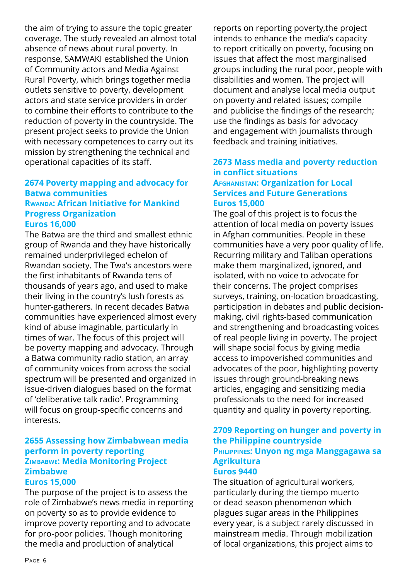the aim of trying to assure the topic greater coverage. The study revealed an almost total absence of news about rural poverty. In response, SAMWAKI established the Union of Community actors and Media Against Rural Poverty, which brings together media outlets sensitive to poverty, development actors and state service providers in order to combine their efforts to contribute to the reduction of poverty in the countryside. The present project seeks to provide the Union with necessary competences to carry out its mission by strengthening the technical and operational capacities of its staff.

#### **2674 Poverty mapping and advocacy for Batwa communities Rwanda: African Initiative for Mankind Progress Organization Euros 16,000**

The Batwa are the third and smallest ethnic group of Rwanda and they have historically remained underprivileged echelon of Rwandan society. The Twa's ancestors were the first inhabitants of Rwanda tens of thousands of years ago, and used to make their living in the country's lush forests as hunter-gatherers. In recent decades Batwa communities have experienced almost every kind of abuse imaginable, particularly in times of war. The focus of this project will be poverty mapping and advocacy. Through a Batwa community radio station, an array of community voices from across the social spectrum will be presented and organized in issue-driven dialogues based on the format of 'deliberative talk radio'. Programming will focus on group-specific concerns and interests.

## **2655 Assessing how Zimbabwean media perform in poverty reporting Zimbabwe: Media Monitoring Project Zimbabwe**

## **Euros 15,000**

The purpose of the project is to assess the role of Zimbabwe's news media in reporting on poverty so as to provide evidence to improve poverty reporting and to advocate for pro-poor policies. Though monitoring the media and production of analytical

reports on reporting poverty,the project intends to enhance the media's capacity to report critically on poverty, focusing on issues that affect the most marginalised groups including the rural poor, people with disabilities and women. The project will document and analyse local media output on poverty and related issues; compile and publicise the findings of the research; use the findings as basis for advocacy and engagement with journalists through feedback and training initiatives.

## **2673 Mass media and poverty reduction in conflict situations Afghanistan: Organization for Local Services and Future Generations Euros 15,000**

The goal of this project is to focus the attention of local media on poverty issues in Afghan communities. People in these communities have a very poor quality of life. Recurring military and Taliban operations make them marginalized, ignored, and isolated, with no voice to advocate for their concerns. The project comprises surveys, training, on-location broadcasting, participation in debates and public decisionmaking, civil rights-based communication and strengthening and broadcasting voices of real people living in poverty. The project will shape social focus by giving media access to impoverished communities and advocates of the poor, highlighting poverty issues through ground-breaking news articles, engaging and sensitizing media professionals to the need for increased quantity and quality in poverty reporting.

## **2709 Reporting on hunger and poverty in the Philippine countryside Philippines: Unyon ng mga Manggagawa sa Agrikultura**

## **Euros 9440**

The situation of agricultural workers, particularly during the tiempo muerto or dead season phenomenon which plagues sugar areas in the Philippines every year, is a subject rarely discussed in mainstream media. Through mobilization of local organizations, this project aims to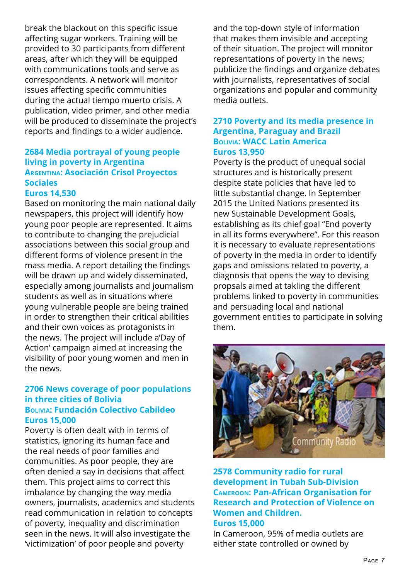break the blackout on this specific issue affecting sugar workers. Training will be provided to 30 participants from different areas, after which they will be equipped with communications tools and serve as correspondents. A network will monitor issues affecting specific communities during the actual tiempo muerto crisis. A publication, video primer, and other media will be produced to disseminate the project's reports and findings to a wider audience.

## **2684 Media portrayal of young people living in poverty in Argentina Argentina: Asociación Crisol Proyectos Sociales**

## **Euros 14,530**

Based on monitoring the main national daily newspapers, this project will identify how young poor people are represented. It aims to contribute to changing the prejudicial associations between this social group and different forms of violence present in the mass media. A report detailing the findings will be drawn up and widely disseminated, especially among journalists and journalism students as well as in situations where young vulnerable people are being trained in order to strengthen their critical abilities and their own voices as protagonists in the news. The project will include a'Day of Action' campaign aimed at increasing the visibility of poor young women and men in the news.

#### **2706 News coverage of poor populations in three cities of Bolivia Bolivia: Fundación Colectivo Cabildeo Euros 15,000**

Poverty is often dealt with in terms of statistics, ignoring its human face and the real needs of poor families and communities. As poor people, they are often denied a say in decisions that affect them. This project aims to correct this imbalance by changing the way media owners, journalists, academics and students read communication in relation to concepts of poverty, inequality and discrimination seen in the news. It will also investigate the 'victimization' of poor people and poverty

and the top-down style of information that makes them invisible and accepting of their situation. The project will monitor representations of poverty in the news; publicize the findings and organize debates with journalists, representatives of social organizations and popular and community media outlets.

## **2710 Poverty and its media presence in Argentina, Paraguay and Brazil Bolivia: WACC Latin America Euros 13,950**

Poverty is the product of unequal social structures and is historically present despite state policies that have led to little substantial change. In September 2015 the United Nations presented its new Sustainable Development Goals, establishing as its chief goal "End poverty in all its forms everywhere". For this reason it is necessary to evaluate representations of poverty in the media in order to identify gaps and omissions related to poverty, a diagnosis that opens the way to devising propsals aimed at takling the different problems linked to poverty in communities and persuading local and national government entities to participate in solving them.



## **2578 Community radio for rural development in Tubah Sub-Division Cameroon: Pan-African Organisation for Research and Protection of Violence on Women and Children. Euros 15,000**

In Cameroon, 95% of media outlets are either state controlled or owned by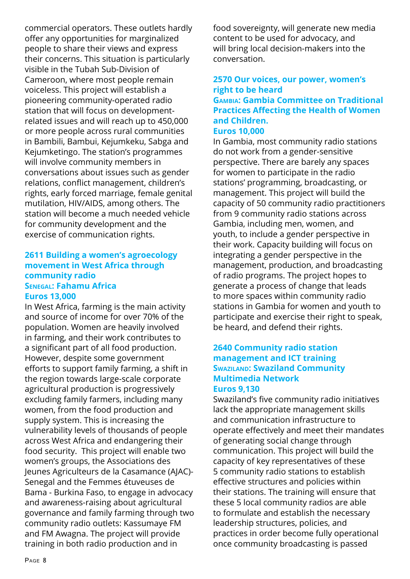commercial operators. These outlets hardly offer any opportunities for marginalized people to share their views and express their concerns. This situation is particularly visible in the Tubah Sub-Division of Cameroon, where most people remain voiceless. This project will establish a pioneering community-operated radio station that will focus on developmentrelated issues and will reach up to 450,000 or more people across rural communities in Bambili, Bambui, Kejumkeku, Sabga and Kejumketingo. The station's programmes will involve community members in conversations about issues such as gender relations, conflict management, children's rights, early forced marriage, female genital mutilation, HIV/AIDS, among others. The station will become a much needed vehicle for community development and the exercise of communication rights.

## **2611 Building a women's agroecology movement in West Africa through community radio Senegal: Fahamu Africa Euros 13,000**

In West Africa, farming is the main activity and source of income for over 70% of the population. Women are heavily involved in farming, and their work contributes to a significant part of all food production. However, despite some government efforts to support family farming, a shift in the region towards large-scale corporate agricultural production is progressively excluding family farmers, including many women, from the food production and supply system. This is increasing the vulnerability levels of thousands of people across West Africa and endangering their food security. This project will enable two women's groups, the Associations des Jeunes Agriculteurs de la Casamance (AJAC)- Senegal and the Femmes étuveuses de Bama - Burkina Faso, to engage in advocacy and awareness-raising about agricultural governance and family farming through two community radio outlets: Kassumaye FM and FM Awagna. The project will provide training in both radio production and in

food sovereignty, will generate new media content to be used for advocacy, and will bring local decision-makers into the conversation.

## **2570 Our voices, our power, women's right to be heard**

## **Gambia: Gambia Committee on Traditional Practices Affecting the Health of Women and Children.**

#### **Euros 10,000**

In Gambia, most community radio stations do not work from a gender-sensitive perspective. There are barely any spaces for women to participate in the radio stations' programming, broadcasting, or management. This project will build the capacity of 50 community radio practitioners from 9 community radio stations across Gambia, including men, women, and youth, to include a gender perspective in their work. Capacity building will focus on integrating a gender perspective in the management, production, and broadcasting of radio programs. The project hopes to generate a process of change that leads to more spaces within community radio stations in Gambia for women and youth to participate and exercise their right to speak, be heard, and defend their rights.

#### **2640 Community radio station management and ICT training Swaziland: Swaziland Community Multimedia Network Euros 9,130**

Swaziland's five community radio initiatives lack the appropriate management skills and communication infrastructure to operate effectively and meet their mandates of generating social change through communication. This project will build the capacity of key representatives of these 5 community radio stations to establish effective structures and policies within their stations. The training will ensure that these 5 local community radios are able to formulate and establish the necessary leadership structures, policies, and practices in order become fully operational once community broadcasting is passed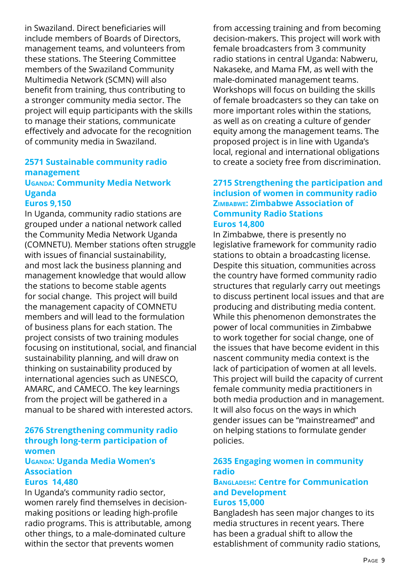in Swaziland. Direct beneficiaries will include members of Boards of Directors, management teams, and volunteers from these stations. The Steering Committee members of the Swaziland Community Multimedia Network (SCMN) will also benefit from training, thus contributing to a stronger community media sector. The project will equip participants with the skills to manage their stations, communicate effectively and advocate for the recognition of community media in Swaziland.

### **2571 Sustainable community radio management**

## **UGANDA: Community Media Network Uganda**

#### **Euros 9,150**

In Uganda, community radio stations are grouped under a national network called the Community Media Network Uganda (COMNETU). Member stations often struggle with issues of financial sustainability, and most lack the business planning and management knowledge that would allow the stations to become stable agents for social change. This project will build the management capacity of COMNETU members and will lead to the formulation of business plans for each station. The project consists of two training modules focusing on institutional, social, and financial sustainability planning, and will draw on thinking on sustainability produced by international agencies such as UNESCO, AMARC, and CAMECO. The key learnings from the project will be gathered in a manual to be shared with interested actors.

#### **2676 Strengthening community radio through long-term participation of women**

## **Uganda: Uganda Media Women's Association**

#### **Euros 14,480**

In Uganda's community radio sector, women rarely find themselves in decisionmaking positions or leading high-profile radio programs. This is attributable, among other things, to a male-dominated culture within the sector that prevents women

from accessing training and from becoming decision-makers. This project will work with female broadcasters from 3 community radio stations in central Uganda: Nabweru, Nakaseke, and Mama FM, as well with the male-dominated management teams. Workshops will focus on building the skills of female broadcasters so they can take on more important roles within the stations, as well as on creating a culture of gender equity among the management teams. The proposed project is in line with Uganda's local, regional and international obligations to create a society free from discrimination.

#### **2715 Strengthening the participation and inclusion of women in community radio Zimbabwe: Zimbabwe Association of Community Radio Stations Euros 14,800**

In Zimbabwe, there is presently no legislative framework for community radio stations to obtain a broadcasting license. Despite this situation, communities across the country have formed community radio structures that regularly carry out meetings to discuss pertinent local issues and that are producing and distributing media content. While this phenomenon demonstrates the power of local communities in Zimbabwe to work together for social change, one of the issues that have become evident in this nascent community media context is the lack of participation of women at all levels. This project will build the capacity of current female community media practitioners in both media production and in management. It will also focus on the ways in which gender issues can be "mainstreamed" and on helping stations to formulate gender policies.

## **2635 Engaging women in community radio**

#### **Bangladesh: Centre for Communication and Development Euros 15,000**

Bangladesh has seen major changes to its media structures in recent years. There has been a gradual shift to allow the establishment of community radio stations,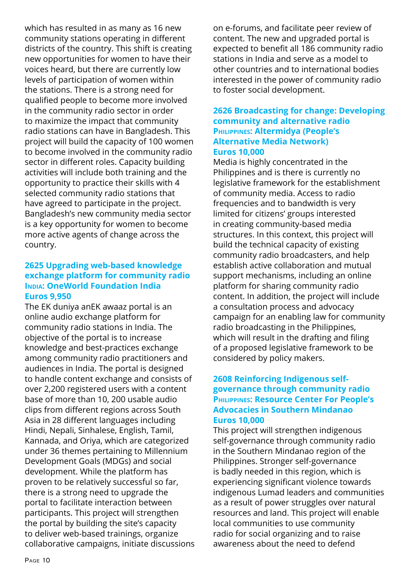which has resulted in as many as 16 new community stations operating in different districts of the country. This shift is creating new opportunities for women to have their voices heard, but there are currently low levels of participation of women within the stations. There is a strong need for qualified people to become more involved in the community radio sector in order to maximize the impact that community radio stations can have in Bangladesh. This project will build the capacity of 100 women to become involved in the community radio sector in different roles. Capacity building activities will include both training and the opportunity to practice their skills with 4 selected community radio stations that have agreed to participate in the project. Bangladesh's new community media sector is a key opportunity for women to become more active agents of change across the country.

### **2625 Upgrading web-based knowledge exchange platform for community radio India: OneWorld Foundation India Euros 9,950**

The EK duniya anEK awaaz portal is an online audio exchange platform for community radio stations in India. The objective of the portal is to increase knowledge and best-practices exchange among community radio practitioners and audiences in India. The portal is designed to handle content exchange and consists of over 2,200 registered users with a content base of more than 10, 200 usable audio clips from different regions across South Asia in 28 different languages including Hindi, Nepali, Sinhalese, English, Tamil, Kannada, and Oriya, which are categorized under 36 themes pertaining to Millennium Development Goals (MDGs) and social development. While the platform has proven to be relatively successful so far, there is a strong need to upgrade the portal to facilitate interaction between participants. This project will strengthen the portal by building the site's capacity to deliver web-based trainings, organize collaborative campaigns, initiate discussions on e-forums, and facilitate peer review of content. The new and upgraded portal is expected to benefit all 186 community radio stations in India and serve as a model to other countries and to international bodies interested in the power of community radio to foster social development.

## **2626 Broadcasting for change: Developing community and alternative radio Philippines: Altermidya (People's Alternative Media Network) Euros 10,000**

Media is highly concentrated in the Philippines and is there is currently no legislative framework for the establishment of community media. Access to radio frequencies and to bandwidth is very limited for citizens' groups interested in creating community-based media structures. In this context, this project will build the technical capacity of existing community radio broadcasters, and help establish active collaboration and mutual support mechanisms, including an online platform for sharing community radio content. In addition, the project will include a consultation process and advocacy campaign for an enabling law for community radio broadcasting in the Philippines, which will result in the drafting and filing of a proposed legislative framework to be considered by policy makers.

## **2608 Reinforcing Indigenous selfgovernance through community radio Philippines: Resource Center For People's Advocacies in Southern Mindanao Euros 10,000**

This project will strengthen indigenous self-governance through community radio in the Southern Mindanao region of the Philippines. Stronger self-governance is badly needed in this region, which is experiencing significant violence towards indigenous Lumad leaders and communities as a result of power struggles over natural resources and land. This project will enable local communities to use community radio for social organizing and to raise awareness about the need to defend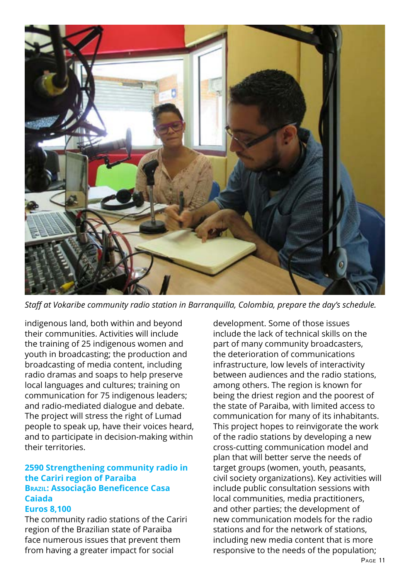

*Staff at Vokaribe community radio station in Barranquilla, Colombia, prepare the day's schedule.*

indigenous land, both within and beyond their communities. Activities will include the training of 25 indigenous women and youth in broadcasting; the production and broadcasting of media content, including radio dramas and soaps to help preserve local languages and cultures; training on communication for 75 indigenous leaders; and radio-mediated dialogue and debate. The project will stress the right of Lumad people to speak up, have their voices heard, and to participate in decision-making within their territories.

## **2590 Strengthening community radio in the Cariri region of Paraiba Brazil: Associação Beneficence Casa Caiada**

#### **Euros 8,100**

The community radio stations of the Cariri region of the Brazilian state of Paraiba face numerous issues that prevent them from having a greater impact for social

development. Some of those issues include the lack of technical skills on the part of many community broadcasters, the deterioration of communications infrastructure, low levels of interactivity between audiences and the radio stations, among others. The region is known for being the driest region and the poorest of the state of Paraiba, with limited access to communication for many of its inhabitants. This project hopes to reinvigorate the work of the radio stations by developing a new cross-cutting communication model and plan that will better serve the needs of target groups (women, youth, peasants, civil society organizations). Key activities will include public consultation sessions with local communities, media practitioners, and other parties; the development of new communication models for the radio stations and for the network of stations, including new media content that is more responsive to the needs of the population;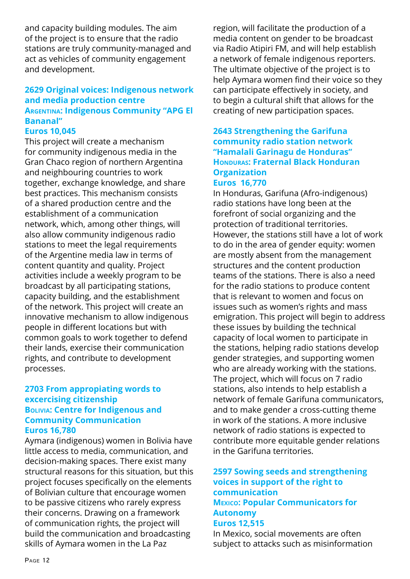and capacity building modules. The aim of the project is to ensure that the radio stations are truly community-managed and act as vehicles of community engagement and development.

## **2629 Original voices: Indigenous network and media production centre Argentina: Indigenous Community "APG El Bananal"**

#### **Euros 10,045**

This project will create a mechanism for community indigenous media in the Gran Chaco region of northern Argentina and neighbouring countries to work together, exchange knowledge, and share best practices. This mechanism consists of a shared production centre and the establishment of a communication network, which, among other things, will also allow community indigenous radio stations to meet the legal requirements of the Argentine media law in terms of content quantity and quality. Project activities include a weekly program to be broadcast by all participating stations, capacity building, and the establishment of the network. This project will create an innovative mechanism to allow indigenous people in different locations but with common goals to work together to defend their lands, exercise their communication rights, and contribute to development processes.

#### **2703 From appropiating words to excercising citizenship Bolivia: Centre for Indigenous and Community Communication Euros 16,780**

Aymara (indigenous) women in Bolivia have little access to media, communication, and decision-making spaces. There exist many structural reasons for this situation, but this project focuses specifically on the elements of Bolivian culture that encourage women to be passive citizens who rarely express their concerns. Drawing on a framework of communication rights, the project will build the communication and broadcasting skills of Aymara women in the La Paz

region, will facilitate the production of a media content on gender to be broadcast via Radio Atipiri FM, and will help establish a network of female indigenous reporters. The ultimate objective of the project is to help Aymara women find their voice so they can participate effectively in society, and to begin a cultural shift that allows for the creating of new participation spaces.

### **2643 Strengthening the Garifuna community radio station network "Hamalali Garinagu de Honduras" Honduras: Fraternal Black Honduran Organization Euros 16,770**

## In Honduras, Garifuna (Afro-indigenous) radio stations have long been at the forefront of social organizing and the protection of traditional territories. However, the stations still have a lot of work to do in the area of gender equity: women are mostly absent from the management structures and the content production teams of the stations. There is also a need for the radio stations to produce content that is relevant to women and focus on issues such as women's rights and mass emigration. This project will begin to address these issues by building the technical capacity of local women to participate in the stations, helping radio stations develop gender strategies, and supporting women who are already working with the stations. The project, which will focus on 7 radio stations, also intends to help establish a network of female Garifuna communicators, and to make gender a cross-cutting theme in work of the stations. A more inclusive network of radio stations is expected to contribute more equitable gender relations in the Garifuna territories.

## **2597 Sowing seeds and strengthening voices in support of the right to communication Mexico: Popular Communicators for Autonomy**

#### **Euros 12,515**

In Mexico, social movements are often subject to attacks such as misinformation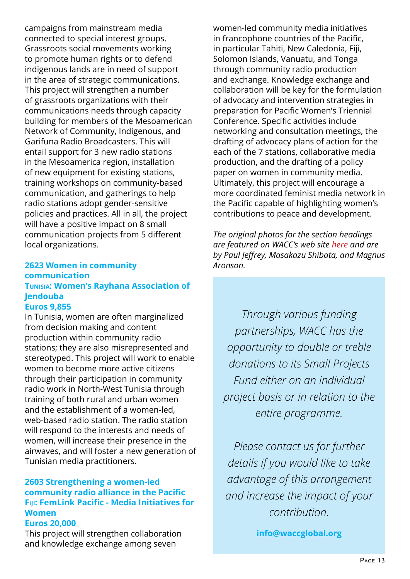campaigns from mainstream media connected to special interest groups. Grassroots social movements working to promote human rights or to defend indigenous lands are in need of support in the area of strategic communications. This project will strengthen a number of grassroots organizations with their communications needs through capacity building for members of the Mesoamerican Network of Community, Indigenous, and Garifuna Radio Broadcasters. This will entail support for 3 new radio stations in the Mesoamerica region, installation of new equipment for existing stations, training workshops on community-based communication, and gatherings to help radio stations adopt gender-sensitive policies and practices. All in all, the project will have a positive impact on 8 small communication projects from 5 different local organizations.

#### **2623 Women in community communication Tunisia: Women's Rayhana Association of Jendouba Euros 9,855**

In Tunisia, women are often marginalized from decision making and content production within community radio stations; they are also misrepresented and stereotyped. This project will work to enable women to become more active citizens through their participation in community radio work in North-West Tunisia through training of both rural and urban women and the establishment of a women-led, web-based radio station. The radio station will respond to the interests and needs of women, will increase their presence in the airwaves, and will foster a new generation of Tunisian media practitioners.

## **2603 Strengthening a women-led community radio alliance in the Pacific Fiji: FemLink Pacific - Media Initiatives for Women**

## **Euros 20,000**

This project will strengthen collaboration and knowledge exchange among seven

women-led community media initiatives in francophone countries of the Pacific, in particular Tahiti, New Caledonia, Fiji, Solomon Islands, Vanuatu, and Tonga through community radio production and exchange. Knowledge exchange and collaboration will be key for the formulation of advocacy and intervention strategies in preparation for Pacific Women's Triennial Conference. Specific activities include networking and consultation meetings, the drafting of advocacy plans of action for the each of the 7 stations, collaborative media production, and the drafting of a policy paper on women in community media. Ultimately, this project will encourage a more coordinated feminist media network in the Pacific capable of highlighting women's contributions to peace and development.

*The original photos for the section headings are featured on WACC's web site [here](http://www.waccglobal.org/our-actions) and are by Paul Jeffrey, Masakazu Shibata, and Magnus Aronson.*

*Through various funding partnerships, WACC has the opportunity to double or treble donations to its Small Projects Fund either on an individual project basis or in relation to the entire programme.*

*Please contact us for further details if you would like to take advantage of this arrangement and increase the impact of your contribution.*

**[info@waccglobal.org](mailto:info@waccglobal.org)**